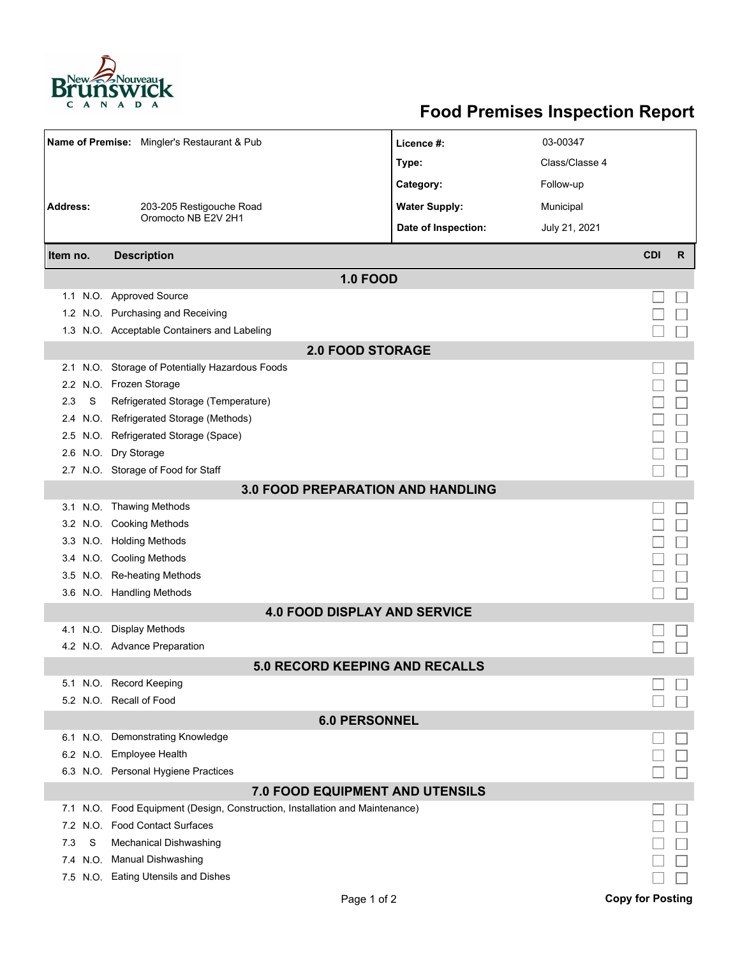

## **Food Premises Inspection Report**

| Name of Premise: Mingler's Restaurant & Pub |                                                                          | Licence #:           | 03-00347       |            |              |  |  |  |  |
|---------------------------------------------|--------------------------------------------------------------------------|----------------------|----------------|------------|--------------|--|--|--|--|
|                                             |                                                                          | Type:                | Class/Classe 4 |            |              |  |  |  |  |
|                                             |                                                                          | Category:            | Follow-up      |            |              |  |  |  |  |
| <b>Address:</b><br>203-205 Restigouche Road |                                                                          | <b>Water Supply:</b> | Municipal      |            |              |  |  |  |  |
|                                             | Oromocto NB E2V 2H1                                                      |                      |                |            |              |  |  |  |  |
|                                             |                                                                          | Date of Inspection:  | July 21, 2021  |            |              |  |  |  |  |
| Item no.                                    | <b>Description</b>                                                       |                      |                | <b>CDI</b> | $\mathsf{R}$ |  |  |  |  |
| <b>1.0 FOOD</b>                             |                                                                          |                      |                |            |              |  |  |  |  |
|                                             | 1.1 N.O. Approved Source                                                 |                      |                |            |              |  |  |  |  |
|                                             | 1.2 N.O. Purchasing and Receiving                                        |                      |                |            |              |  |  |  |  |
|                                             | 1.3 N.O. Acceptable Containers and Labeling                              |                      |                |            |              |  |  |  |  |
| <b>2.0 FOOD STORAGE</b>                     |                                                                          |                      |                |            |              |  |  |  |  |
| 2.1                                         | N.O. Storage of Potentially Hazardous Foods                              |                      |                |            |              |  |  |  |  |
| 2.2                                         | N.O. Frozen Storage                                                      |                      |                |            |              |  |  |  |  |
| S<br>2.3                                    | Refrigerated Storage (Temperature)                                       |                      |                |            |              |  |  |  |  |
| 2.4                                         | N.O. Refrigerated Storage (Methods)                                      |                      |                |            |              |  |  |  |  |
|                                             | 2.5 N.O. Refrigerated Storage (Space)                                    |                      |                |            |              |  |  |  |  |
| 2.6                                         | N.O. Dry Storage                                                         |                      |                |            |              |  |  |  |  |
|                                             | 2.7 N.O. Storage of Food for Staff                                       |                      |                |            |              |  |  |  |  |
| <b>3.0 FOOD PREPARATION AND HANDLING</b>    |                                                                          |                      |                |            |              |  |  |  |  |
|                                             | 3.1 N.O. Thawing Methods                                                 |                      |                |            |              |  |  |  |  |
|                                             | 3.2 N.O. Cooking Methods                                                 |                      |                |            |              |  |  |  |  |
|                                             | 3.3 N.O. Holding Methods                                                 |                      |                |            |              |  |  |  |  |
|                                             | 3.4 N.O. Cooling Methods                                                 |                      |                |            |              |  |  |  |  |
| 3.5                                         | N.O. Re-heating Methods                                                  |                      |                |            |              |  |  |  |  |
|                                             | 3.6 N.O. Handling Methods                                                |                      |                |            |              |  |  |  |  |
| <b>4.0 FOOD DISPLAY AND SERVICE</b>         |                                                                          |                      |                |            |              |  |  |  |  |
| N.O.<br>4.1                                 | <b>Display Methods</b>                                                   |                      |                |            |              |  |  |  |  |
|                                             | 4.2 N.O. Advance Preparation                                             |                      |                |            |              |  |  |  |  |
|                                             | <b>5.0 RECORD KEEPING AND RECALLS</b>                                    |                      |                |            |              |  |  |  |  |
|                                             | 5.1 N.O. Record Keeping                                                  |                      |                |            |              |  |  |  |  |
|                                             | 5.2 N.O. Recall of Food                                                  |                      |                |            |              |  |  |  |  |
| <b>6.0 PERSONNEL</b>                        |                                                                          |                      |                |            |              |  |  |  |  |
|                                             | 6.1 N.O. Demonstrating Knowledge                                         |                      |                |            |              |  |  |  |  |
|                                             | 6.2 N.O. Employee Health                                                 |                      |                |            |              |  |  |  |  |
|                                             | 6.3 N.O. Personal Hygiene Practices                                      |                      |                |            |              |  |  |  |  |
| 7.0 FOOD EQUIPMENT AND UTENSILS             |                                                                          |                      |                |            |              |  |  |  |  |
| 7.1                                         | N.O. Food Equipment (Design, Construction, Installation and Maintenance) |                      |                |            |              |  |  |  |  |
| N.O.<br>7.2                                 | <b>Food Contact Surfaces</b>                                             |                      |                |            |              |  |  |  |  |
| S<br>7.3                                    | <b>Mechanical Dishwashing</b>                                            |                      |                |            |              |  |  |  |  |
| 7.4                                         | N.O. Manual Dishwashing                                                  |                      |                |            |              |  |  |  |  |
|                                             | 7.5 N.O. Eating Utensils and Dishes                                      |                      |                |            |              |  |  |  |  |